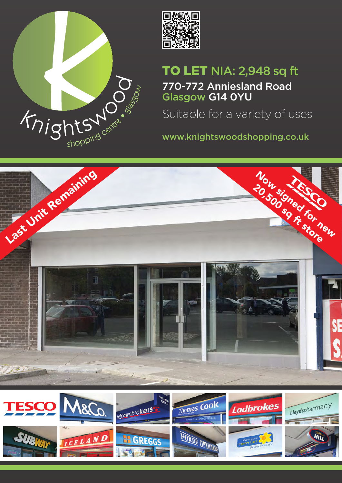



# TO LET NIA: 2,948 sq ft

770-772 Anniesland Road Glasgow G14 0YU

Suitable for a variety of uses

www.knightswoodshopping.co.uk